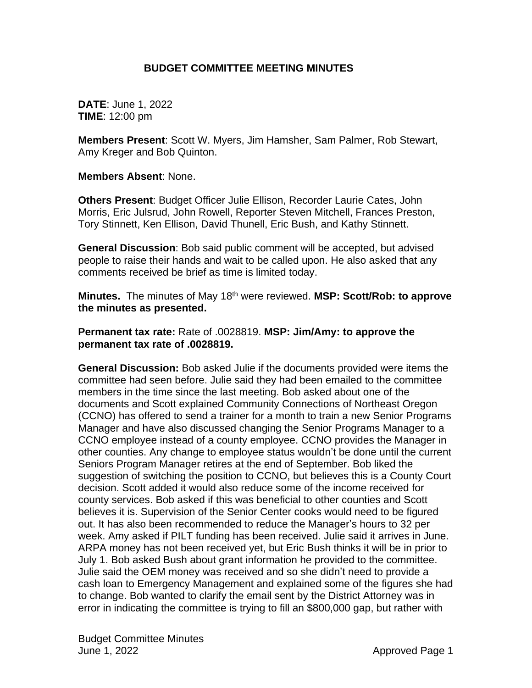#### **BUDGET COMMITTEE MEETING MINUTES**

**DATE**: June 1, 2022 **TIME**: 12:00 pm

**Members Present**: Scott W. Myers, Jim Hamsher, Sam Palmer, Rob Stewart, Amy Kreger and Bob Quinton.

#### **Members Absent**: None.

**Others Present**: Budget Officer Julie Ellison, Recorder Laurie Cates, John Morris, Eric Julsrud, John Rowell, Reporter Steven Mitchell, Frances Preston, Tory Stinnett, Ken Ellison, David Thunell, Eric Bush, and Kathy Stinnett.

**General Discussion**: Bob said public comment will be accepted, but advised people to raise their hands and wait to be called upon. He also asked that any comments received be brief as time is limited today.

**Minutes.** The minutes of May 18th were reviewed. **MSP: Scott/Rob: to approve the minutes as presented.**

#### **Permanent tax rate:** Rate of .0028819. **MSP: Jim/Amy: to approve the permanent tax rate of .0028819.**

**General Discussion:** Bob asked Julie if the documents provided were items the committee had seen before. Julie said they had been emailed to the committee members in the time since the last meeting. Bob asked about one of the documents and Scott explained Community Connections of Northeast Oregon (CCNO) has offered to send a trainer for a month to train a new Senior Programs Manager and have also discussed changing the Senior Programs Manager to a CCNO employee instead of a county employee. CCNO provides the Manager in other counties. Any change to employee status wouldn't be done until the current Seniors Program Manager retires at the end of September. Bob liked the suggestion of switching the position to CCNO, but believes this is a County Court decision. Scott added it would also reduce some of the income received for county services. Bob asked if this was beneficial to other counties and Scott believes it is. Supervision of the Senior Center cooks would need to be figured out. It has also been recommended to reduce the Manager's hours to 32 per week. Amy asked if PILT funding has been received. Julie said it arrives in June. ARPA money has not been received yet, but Eric Bush thinks it will be in prior to July 1. Bob asked Bush about grant information he provided to the committee. Julie said the OEM money was received and so she didn't need to provide a cash loan to Emergency Management and explained some of the figures she had to change. Bob wanted to clarify the email sent by the District Attorney was in error in indicating the committee is trying to fill an \$800,000 gap, but rather with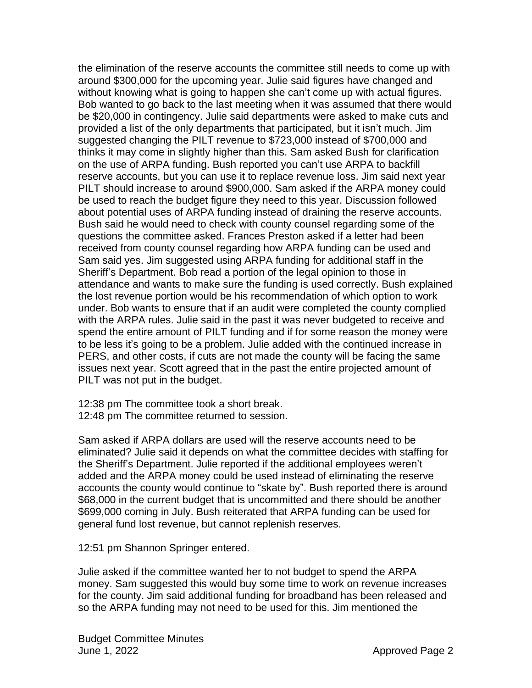the elimination of the reserve accounts the committee still needs to come up with around \$300,000 for the upcoming year. Julie said figures have changed and without knowing what is going to happen she can't come up with actual figures. Bob wanted to go back to the last meeting when it was assumed that there would be \$20,000 in contingency. Julie said departments were asked to make cuts and provided a list of the only departments that participated, but it isn't much. Jim suggested changing the PILT revenue to \$723,000 instead of \$700,000 and thinks it may come in slightly higher than this. Sam asked Bush for clarification on the use of ARPA funding. Bush reported you can't use ARPA to backfill reserve accounts, but you can use it to replace revenue loss. Jim said next year PILT should increase to around \$900,000. Sam asked if the ARPA money could be used to reach the budget figure they need to this year. Discussion followed about potential uses of ARPA funding instead of draining the reserve accounts. Bush said he would need to check with county counsel regarding some of the questions the committee asked. Frances Preston asked if a letter had been received from county counsel regarding how ARPA funding can be used and Sam said yes. Jim suggested using ARPA funding for additional staff in the Sheriff's Department. Bob read a portion of the legal opinion to those in attendance and wants to make sure the funding is used correctly. Bush explained the lost revenue portion would be his recommendation of which option to work under. Bob wants to ensure that if an audit were completed the county complied with the ARPA rules. Julie said in the past it was never budgeted to receive and spend the entire amount of PILT funding and if for some reason the money were to be less it's going to be a problem. Julie added with the continued increase in PERS, and other costs, if cuts are not made the county will be facing the same issues next year. Scott agreed that in the past the entire projected amount of PILT was not put in the budget.

12:38 pm The committee took a short break. 12:48 pm The committee returned to session.

Sam asked if ARPA dollars are used will the reserve accounts need to be eliminated? Julie said it depends on what the committee decides with staffing for the Sheriff's Department. Julie reported if the additional employees weren't added and the ARPA money could be used instead of eliminating the reserve accounts the county would continue to "skate by". Bush reported there is around \$68,000 in the current budget that is uncommitted and there should be another \$699,000 coming in July. Bush reiterated that ARPA funding can be used for general fund lost revenue, but cannot replenish reserves.

12:51 pm Shannon Springer entered.

Julie asked if the committee wanted her to not budget to spend the ARPA money. Sam suggested this would buy some time to work on revenue increases for the county. Jim said additional funding for broadband has been released and so the ARPA funding may not need to be used for this. Jim mentioned the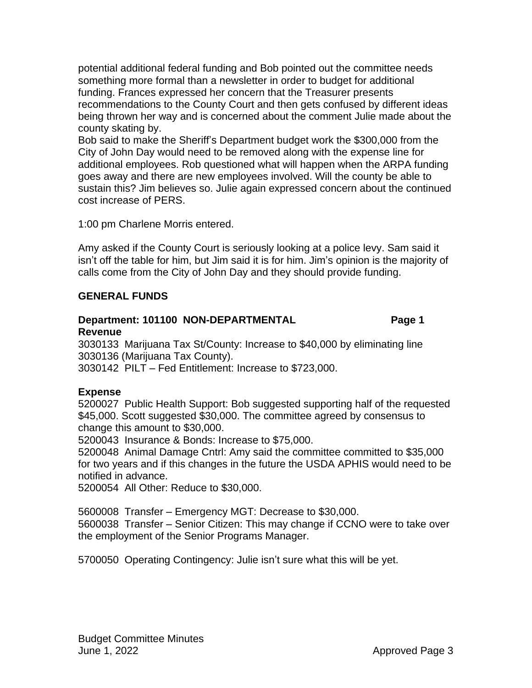potential additional federal funding and Bob pointed out the committee needs something more formal than a newsletter in order to budget for additional funding. Frances expressed her concern that the Treasurer presents recommendations to the County Court and then gets confused by different ideas being thrown her way and is concerned about the comment Julie made about the county skating by.

Bob said to make the Sheriff's Department budget work the \$300,000 from the City of John Day would need to be removed along with the expense line for additional employees. Rob questioned what will happen when the ARPA funding goes away and there are new employees involved. Will the county be able to sustain this? Jim believes so. Julie again expressed concern about the continued cost increase of PERS.

1:00 pm Charlene Morris entered.

Amy asked if the County Court is seriously looking at a police levy. Sam said it isn't off the table for him, but Jim said it is for him. Jim's opinion is the majority of calls come from the City of John Day and they should provide funding.

### **GENERAL FUNDS**

## **Department: 101100 NON-DEPARTMENTAL Page 1 Revenue**

3030133 Marijuana Tax St/County: Increase to \$40,000 by eliminating line 3030136 (Marijuana Tax County).

3030142 PILT – Fed Entitlement: Increase to \$723,000.

#### **Expense**

5200027 Public Health Support: Bob suggested supporting half of the requested \$45,000. Scott suggested \$30,000. The committee agreed by consensus to change this amount to \$30,000.

5200043 Insurance & Bonds: Increase to \$75,000.

5200048 Animal Damage Cntrl: Amy said the committee committed to \$35,000 for two years and if this changes in the future the USDA APHIS would need to be notified in advance.

5200054 All Other: Reduce to \$30,000.

5600008 Transfer – Emergency MGT: Decrease to \$30,000.

5600038 Transfer – Senior Citizen: This may change if CCNO were to take over the employment of the Senior Programs Manager.

5700050 Operating Contingency: Julie isn't sure what this will be yet.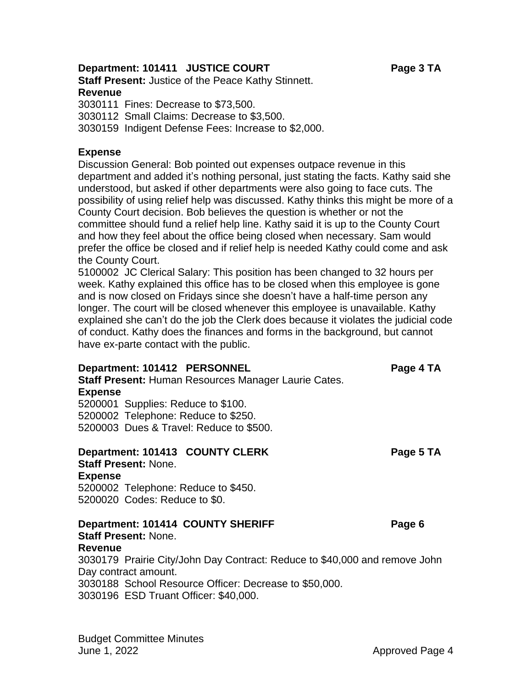#### **Department: 101411 JUSTICE COURT Page 3 TA**

**Staff Present:** Justice of the Peace Kathy Stinnett.

## **Revenue**

3030111 Fines: Decrease to \$73,500.

3030112 Small Claims: Decrease to \$3,500.

3030159 Indigent Defense Fees: Increase to \$2,000.

#### **Expense**

Discussion General: Bob pointed out expenses outpace revenue in this department and added it's nothing personal, just stating the facts. Kathy said she understood, but asked if other departments were also going to face cuts. The possibility of using relief help was discussed. Kathy thinks this might be more of a County Court decision. Bob believes the question is whether or not the committee should fund a relief help line. Kathy said it is up to the County Court and how they feel about the office being closed when necessary. Sam would prefer the office be closed and if relief help is needed Kathy could come and ask the County Court.

5100002 JC Clerical Salary: This position has been changed to 32 hours per week. Kathy explained this office has to be closed when this employee is gone and is now closed on Fridays since she doesn't have a half-time person any longer. The court will be closed whenever this employee is unavailable. Kathy explained she can't do the job the Clerk does because it violates the judicial code of conduct. Kathy does the finances and forms in the background, but cannot have ex-parte contact with the public.

#### **Department: 101412 PERSONNEL PROPERTY** Page 4 TA

**Staff Present:** Human Resources Manager Laurie Cates. **Expense** 5200001 Supplies: Reduce to \$100.

5200002 Telephone: Reduce to \$250. 5200003 Dues & Travel: Reduce to \$500.

#### **Department: 101413 COUNTY CLERK Page 5 TA**

#### **Staff Present:** None.

#### **Expense**

5200002 Telephone: Reduce to \$450. 5200020 Codes: Reduce to \$0.

#### **Department: 101414 COUNTY SHERIFF Page 6 Staff Present:** None.

# **Revenue**

3030179 Prairie City/John Day Contract: Reduce to \$40,000 and remove John Day contract amount. 3030188 School Resource Officer: Decrease to \$50,000. 3030196 ESD Truant Officer: \$40,000.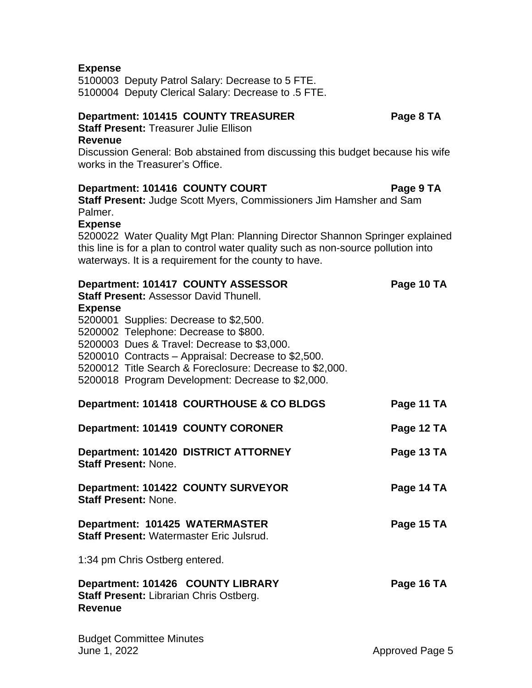| <b>Staff Present: Judge Scott Myers, Commissioners Jim Hamsher and Sam</b><br>Palmer.<br><b>Expense</b>                                                                                                                                                                                                                                                                                                         |                      |
|-----------------------------------------------------------------------------------------------------------------------------------------------------------------------------------------------------------------------------------------------------------------------------------------------------------------------------------------------------------------------------------------------------------------|----------------------|
| 5200022 Water Quality Mgt Plan: Planning Director Shannon Springer explaine<br>this line is for a plan to control water quality such as non-source pollution into<br>waterways. It is a requirement for the county to have.                                                                                                                                                                                     |                      |
| Department: 101417 COUNTY ASSESSOR<br><b>Staff Present: Assessor David Thunell.</b><br><b>Expense</b><br>5200001 Supplies: Decrease to \$2,500.<br>5200002 Telephone: Decrease to \$800.<br>5200003 Dues & Travel: Decrease to \$3,000.<br>5200010 Contracts - Appraisal: Decrease to \$2,500.<br>5200012 Title Search & Foreclosure: Decrease to \$2,000.<br>5200018 Program Development: Decrease to \$2,000. | Page 10 TA           |
| Department: 101418 COURTHOUSE & CO BLDGS                                                                                                                                                                                                                                                                                                                                                                        | Page 11 TA           |
| Department: 101419 COUNTY CORONER                                                                                                                                                                                                                                                                                                                                                                               | Page 12 TA           |
| Department: 101420 DISTRICT ATTORNEY<br><b>Staff Present: None.</b>                                                                                                                                                                                                                                                                                                                                             | Page 13 TA           |
| Department: 101422 COUNTY SURVEYOR<br><b>Staff Present: None.</b>                                                                                                                                                                                                                                                                                                                                               | Page 14 TA           |
| Department: 101425 WATERMASTER<br><b>Staff Present: Watermaster Eric Julsrud.</b>                                                                                                                                                                                                                                                                                                                               | Page 15 TA           |
| 1:34 pm Chris Ostberg entered.                                                                                                                                                                                                                                                                                                                                                                                  |                      |
| Department: 101426 COUNTY LIBRARY<br>Staff Present: Librarian Chris Ostberg.<br><b>Revenue</b>                                                                                                                                                                                                                                                                                                                  | Page 16 TA           |
| <b>Budget Committee Minutes</b><br>June 1, 2022                                                                                                                                                                                                                                                                                                                                                                 | <b>Approved Page</b> |

### **Staff Present:** Treasurer Julie Ellison

#### **Revenue**

Discussion General: Bob abstained from discussing this budget because his wife works in the Treasurer's Office.

#### **Department: 101416 COUNTY COURT Page 9 TA**

#### **Expense**

5100003 Deputy Patrol Salary: Decrease to 5 FTE. 5100004 Deputy Clerical Salary: Decrease to .5 FTE.

# **Department: 101415 COUNTY TREASURER** Page 8 TA

Approved Page 5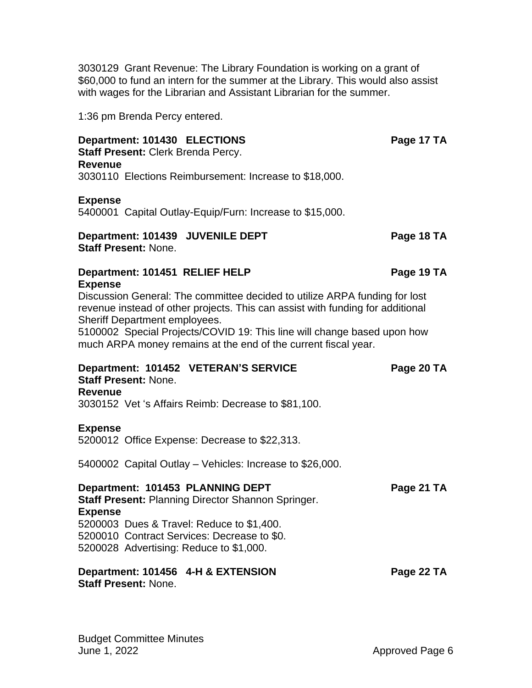3030129 Grant Revenue: The Library Foundation is working on a grant of \$60,000 to fund an intern for the summer at the Library. This would also assist with wages for the Librarian and Assistant Librarian for the summer.

1:36 pm Brenda Percy entered.

#### **Department: 101430 ELECTIONS Page 17 TA**

**Staff Present:** Clerk Brenda Percy. **Revenue**

3030110 Elections Reimbursement: Increase to \$18,000.

### **Expense**

5400001 Capital Outlay-Equip/Furn: Increase to \$15,000.

**Department: 101439** JUVENILE DEPT **Page 18** TA **Staff Present:** None.

#### **Department: 101451 RELIEF HELP Page 19 TA Expense**

Discussion General: The committee decided to utilize ARPA funding for lost revenue instead of other projects. This can assist with funding for additional Sheriff Department employees.

5100002 Special Projects/COVID 19: This line will change based upon how much ARPA money remains at the end of the current fiscal year.

#### **Department: 101452 VETERAN'S SERVICE Page 20 TA Staff Present:** None.

#### **Revenue**

3030152 Vet 's Affairs Reimb: Decrease to \$81,100.

### **Expense**

5200012 Office Expense: Decrease to \$22,313.

5400002 Capital Outlay – Vehicles: Increase to \$26,000.

#### **Department: 101453 PLANNING DEPT Page 21 TA Staff Present:** Planning Director Shannon Springer. **Expense** 5200003 Dues & Travel: Reduce to \$1,400. 5200010 Contract Services: Decrease to \$0.

5200028 Advertising: Reduce to \$1,000.

#### **Department: 101456 4-H & EXTENSION Page 22 TA Staff Present:** None.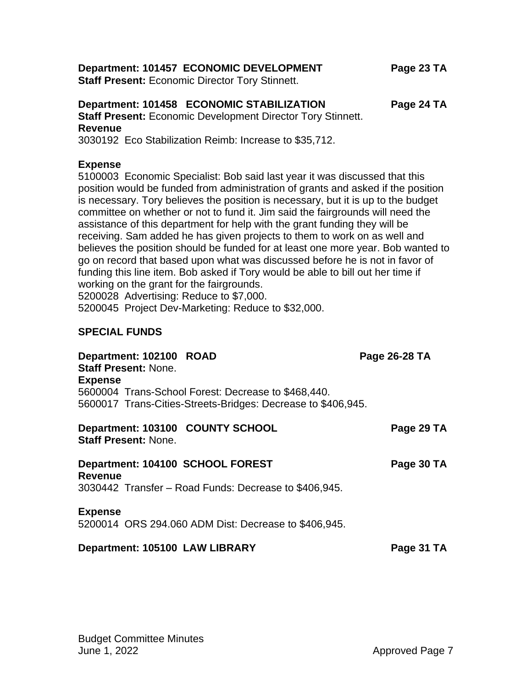## **Department: 101457 ECONOMIC DEVELOPMENT Page 23 TA**

**Staff Present:** Economic Director Tory Stinnett.

#### **Department: 101458 ECONOMIC STABILIZATION Page 24 TA**

**Staff Present:** Economic Development Director Tory Stinnett. **Revenue**

3030192 Eco Stabilization Reimb: Increase to \$35,712.

#### **Expense**

5100003 Economic Specialist: Bob said last year it was discussed that this position would be funded from administration of grants and asked if the position is necessary. Tory believes the position is necessary, but it is up to the budget committee on whether or not to fund it. Jim said the fairgrounds will need the assistance of this department for help with the grant funding they will be receiving. Sam added he has given projects to them to work on as well and believes the position should be funded for at least one more year. Bob wanted to go on record that based upon what was discussed before he is not in favor of funding this line item. Bob asked if Tory would be able to bill out her time if working on the grant for the fairgrounds. 5200028 Advertising: Reduce to \$7,000. 5200045 Project Dev-Marketing: Reduce to \$32,000.

#### **SPECIAL FUNDS**

| Department: 102100 ROAD<br><b>Staff Present: None.</b><br><b>Expense</b> | 5600004 Trans-School Forest: Decrease to \$468,440.<br>5600017 Trans-Cities-Streets-Bridges: Decrease to \$406,945. | Page 26-28 TA |
|--------------------------------------------------------------------------|---------------------------------------------------------------------------------------------------------------------|---------------|
| Department: 103100 COUNTY SCHOOL<br><b>Staff Present: None.</b>          |                                                                                                                     | Page 29 TA    |
| Department: 104100 SCHOOL FOREST<br><b>Revenue</b>                       | 3030442 Transfer – Road Funds: Decrease to \$406,945.                                                               | Page 30 TA    |
| <b>Expense</b>                                                           | 5200014 ORS 294.060 ADM Dist: Decrease to \$406,945.                                                                |               |
| Department: 105100 LAW LIBRARY                                           |                                                                                                                     | Page 31 TA    |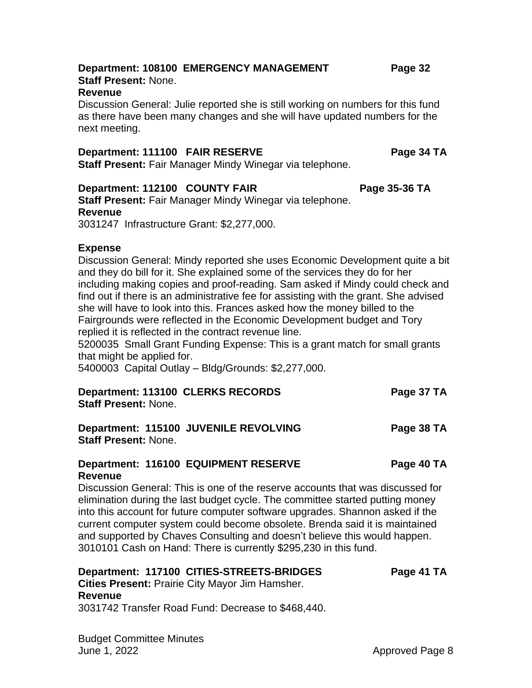# **Department: 108100 EMERGENCY MANAGEMENT Page 32**

## **Staff Present:** None.

## **Revenue**

Discussion General: Julie reported she is still working on numbers for this fund as there have been many changes and she will have updated numbers for the next meeting.

#### **Department: 111100 FAIR RESERVE Page 34 TA**

**Staff Present:** Fair Manager Mindy Winegar via telephone.

### **Department:** 112100 COUNTY FAIR **Page 35-36 TA**

**Staff Present:** Fair Manager Mindy Winegar via telephone. **Revenue**

3031247 Infrastructure Grant: \$2,277,000.

### **Expense**

Discussion General: Mindy reported she uses Economic Development quite a bit and they do bill for it. She explained some of the services they do for her including making copies and proof-reading. Sam asked if Mindy could check and find out if there is an administrative fee for assisting with the grant. She advised she will have to look into this. Frances asked how the money billed to the Fairgrounds were reflected in the Economic Development budget and Tory replied it is reflected in the contract revenue line.

5200035 Small Grant Funding Expense: This is a grant match for small grants that might be applied for.

5400003 Capital Outlay – Bldg/Grounds: \$2,277,000.

# **Department: 113100 CLERKS RECORDS Page 37 TA Staff Present:** None.

**Department: 115100 JUVENILE REVOLVING Page 38 TA Staff Present:** None.

#### **Department: 116100 EQUIPMENT RESERVE FOR STRAIN PRAGE 40 TA Revenue**

Discussion General: This is one of the reserve accounts that was discussed for elimination during the last budget cycle. The committee started putting money into this account for future computer software upgrades. Shannon asked if the current computer system could become obsolete. Brenda said it is maintained and supported by Chaves Consulting and doesn't believe this would happen. 3010101 Cash on Hand: There is currently \$295,230 in this fund.

#### **Department: 117100 CITIES-STREETS-BRIDGES Page 41 TA Cities Present:** Prairie City Mayor Jim Hamsher. **Revenue**

3031742 Transfer Road Fund: Decrease to \$468,440.

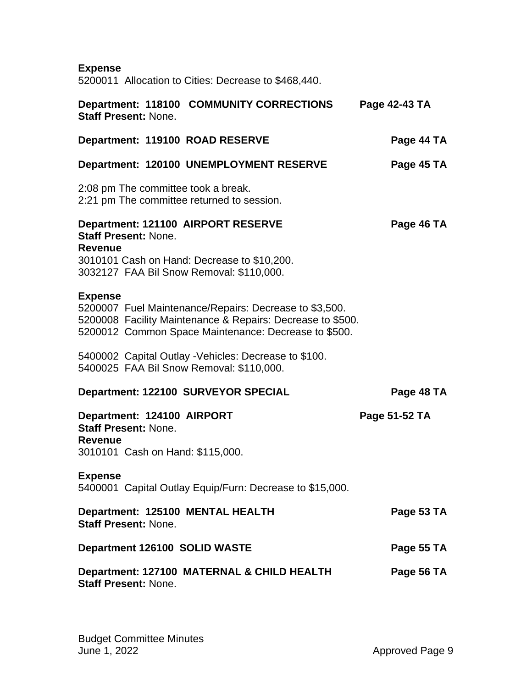## **Expense**

5200011 Allocation to Cities: Decrease to \$468,440.

| Department: 118100 COMMUNITY CORRECTIONS<br><b>Staff Present: None.</b>                                                                                                                        | Page 42-43 TA |
|------------------------------------------------------------------------------------------------------------------------------------------------------------------------------------------------|---------------|
| Department: 119100 ROAD RESERVE                                                                                                                                                                | Page 44 TA    |
| Department: 120100 UNEMPLOYMENT RESERVE                                                                                                                                                        | Page 45 TA    |
| 2:08 pm The committee took a break.<br>2:21 pm The committee returned to session.                                                                                                              |               |
| Department: 121100 AIRPORT RESERVE<br><b>Staff Present: None.</b><br><b>Revenue</b><br>3010101 Cash on Hand: Decrease to \$10,200.<br>3032127 FAA Bil Snow Removal: \$110,000.                 | Page 46 TA    |
| <b>Expense</b><br>5200007 Fuel Maintenance/Repairs: Decrease to \$3,500.<br>5200008 Facility Maintenance & Repairs: Decrease to \$500.<br>5200012 Common Space Maintenance: Decrease to \$500. |               |
| 5400002 Capital Outlay - Vehicles: Decrease to \$100.<br>5400025 FAA Bil Snow Removal: \$110,000.                                                                                              |               |
| Department: 122100 SURVEYOR SPECIAL                                                                                                                                                            | Page 48 TA    |
| Department: 124100 AIRPORT<br><b>Staff Present: None.</b><br><b>Revenue</b><br>3010101 Cash on Hand: \$115,000.                                                                                | Page 51-52 TA |
| <b>Expense</b><br>5400001 Capital Outlay Equip/Furn: Decrease to \$15,000.                                                                                                                     |               |
| Department: 125100 MENTAL HEALTH<br><b>Staff Present: None.</b>                                                                                                                                | Page 53 TA    |
| Department 126100 SOLID WASTE                                                                                                                                                                  | Page 55 TA    |
| Department: 127100 MATERNAL & CHILD HEALTH<br><b>Staff Present: None.</b>                                                                                                                      | Page 56 TA    |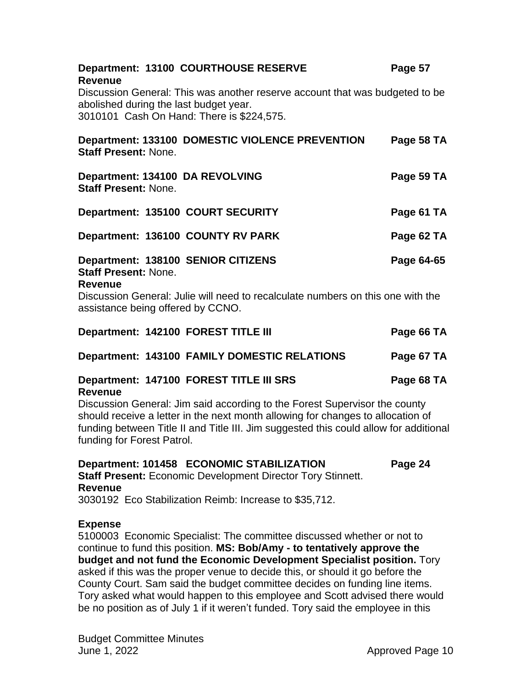| Department: 13100 COURTHOUSE RESERVE                                         | Page 57 |
|------------------------------------------------------------------------------|---------|
| <b>Revenue</b>                                                               |         |
| Discussion General: This was another reserve account that was budgeted to be |         |
| abolished during the last budget year.                                       |         |
| 3010101 Cash On Hand: There is \$224,575.                                    |         |

| <b>Staff Present: None.</b>                                       | Department: 133100 DOMESTIC VIOLENCE PREVENTION | Page 58 TA |
|-------------------------------------------------------------------|-------------------------------------------------|------------|
| Department: 134100 DA REVOLVING<br><b>Staff Present: None.</b>    |                                                 | Page 59 TA |
| Department: 135100 COURT SECURITY                                 |                                                 | Page 61 TA |
| Department: 136100 COUNTY RV PARK                                 |                                                 | Page 62 TA |
| Department: 138100 SENIOR CITIZENS<br><b>Staff Present: None.</b> |                                                 | Page 64-65 |

**Revenue**

Discussion General: Julie will need to recalculate numbers on this one with the assistance being offered by CCNO.

| Department: 142100 FOREST TITLE III |                                                     | Page 66 TA |
|-------------------------------------|-----------------------------------------------------|------------|
|                                     | <b>Department: 143100 FAMILY DOMESTIC RELATIONS</b> | Page 67 TA |

#### **Department: 147100 FOREST TITLE III SRS Page 68 TA Revenue**

Discussion General: Jim said according to the Forest Supervisor the county should receive a letter in the next month allowing for changes to allocation of funding between Title II and Title III. Jim suggested this could allow for additional funding for Forest Patrol.

#### **Department: 101458 ECONOMIC STABILIZATION Page 24**

**Staff Present:** Economic Development Director Tory Stinnett. **Revenue**

3030192 Eco Stabilization Reimb: Increase to \$35,712.

#### **Expense**

5100003 Economic Specialist: The committee discussed whether or not to continue to fund this position. **MS: Bob/Amy - to tentatively approve the budget and not fund the Economic Development Specialist position.** Tory asked if this was the proper venue to decide this, or should it go before the County Court. Sam said the budget committee decides on funding line items. Tory asked what would happen to this employee and Scott advised there would be no position as of July 1 if it weren't funded. Tory said the employee in this